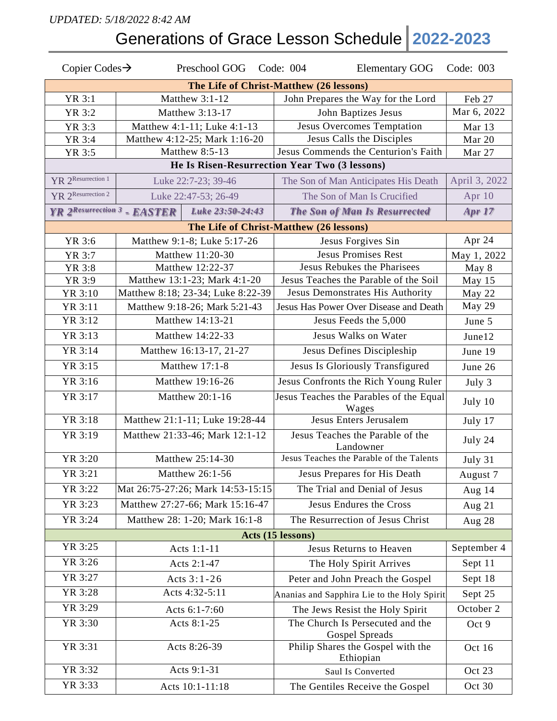## *UPDATED: 5/18/2022 8:42 AM*

Generations of Grace Lesson Schedule **2022-2023**

| Copier Codes $\rightarrow$                    | Preschool GOG Code: 004           | <b>Elementary GOG</b>                              | Code: 003     |  |  |  |  |  |
|-----------------------------------------------|-----------------------------------|----------------------------------------------------|---------------|--|--|--|--|--|
| The Life of Christ-Matthew (26 lessons)       |                                   |                                                    |               |  |  |  |  |  |
| YR 3:1                                        | Matthew 3:1-12                    | John Prepares the Way for the Lord                 | Feb 27        |  |  |  |  |  |
| YR 3:2                                        | Matthew 3:13-17                   | John Baptizes Jesus                                | Mar 6, 2022   |  |  |  |  |  |
| YR 3:3                                        | Matthew 4:1-11; Luke 4:1-13       | <b>Jesus Overcomes Temptation</b>                  | Mar 13        |  |  |  |  |  |
| YR 3:4                                        | Matthew 4:12-25; Mark 1:16-20     | Jesus Calls the Disciples                          | Mar 20        |  |  |  |  |  |
| YR 3:5                                        | Matthew 8:5-13                    | Jesus Commends the Centurion's Faith               | Mar 27        |  |  |  |  |  |
| He Is Risen-Resurrection Year Two (3 lessons) |                                   |                                                    |               |  |  |  |  |  |
| YR 2Resurrection 1                            | Luke 22:7-23; 39-46               | The Son of Man Anticipates His Death               | April 3, 2022 |  |  |  |  |  |
| YR 2Resurrection 2                            | Luke 22:47-53; 26-49              | The Son of Man Is Crucified                        | Apr 10        |  |  |  |  |  |
| YR 2Resurrection 3 - EASTER                   | Luke 23:50-24:43                  | <b>The Son of Man Is Resurrected</b>               | <b>Apr 17</b> |  |  |  |  |  |
|                                               |                                   | The Life of Christ-Matthew (26 lessons)            |               |  |  |  |  |  |
| YR 3:6                                        | Matthew 9:1-8; Luke 5:17-26       | Jesus Forgives Sin                                 | Apr 24        |  |  |  |  |  |
| YR 3:7                                        | Matthew 11:20-30                  | <b>Jesus Promises Rest</b>                         | May 1, 2022   |  |  |  |  |  |
| YR 3:8                                        | Matthew 12:22-37                  | Jesus Rebukes the Pharisees                        | May 8         |  |  |  |  |  |
| YR 3:9                                        | Matthew 13:1-23; Mark 4:1-20      | Jesus Teaches the Parable of the Soil              | May 15        |  |  |  |  |  |
| YR 3:10                                       | Matthew 8:18; 23-34; Luke 8:22-39 | Jesus Demonstrates His Authority                   | May 22        |  |  |  |  |  |
| YR 3:11                                       | Matthew 9:18-26; Mark 5:21-43     | Jesus Has Power Over Disease and Death             | May 29        |  |  |  |  |  |
| YR 3:12                                       | Matthew 14:13-21                  | Jesus Feeds the 5,000                              | June 5        |  |  |  |  |  |
| YR 3:13                                       | Matthew 14:22-33                  | Jesus Walks on Water                               | June12        |  |  |  |  |  |
| YR 3:14                                       | Matthew 16:13-17, 21-27           | Jesus Defines Discipleship                         | June 19       |  |  |  |  |  |
| YR 3:15                                       | Matthew 17:1-8                    | Jesus Is Gloriously Transfigured                   | June 26       |  |  |  |  |  |
| YR 3:16                                       | Matthew 19:16-26                  | Jesus Confronts the Rich Young Ruler               | July 3        |  |  |  |  |  |
| YR 3:17                                       | Matthew 20:1-16                   | Jesus Teaches the Parables of the Equal<br>Wages   | July 10       |  |  |  |  |  |
| YR 3:18                                       | Matthew 21:1-11; Luke 19:28-44    | <b>Jesus Enters Jerusalem</b>                      | July 17       |  |  |  |  |  |
| YR 3:19                                       | Matthew 21:33-46; Mark 12:1-12    | Jesus Teaches the Parable of the<br>Landowner      | July 24       |  |  |  |  |  |
| YR 3:20                                       | Matthew 25:14-30                  | Jesus Teaches the Parable of the Talents           | July 31       |  |  |  |  |  |
| YR 3:21                                       | Matthew 26:1-56                   | Jesus Prepares for His Death                       | August 7      |  |  |  |  |  |
| YR 3:22                                       | Mat 26:75-27:26; Mark 14:53-15:15 | The Trial and Denial of Jesus                      | Aug 14        |  |  |  |  |  |
| YR 3:23                                       | Matthew 27:27-66; Mark 15:16-47   | Jesus Endures the Cross                            | Aug $21$      |  |  |  |  |  |
| YR 3:24                                       | Matthew 28: 1-20; Mark 16:1-8     | The Resurrection of Jesus Christ                   | Aug 28        |  |  |  |  |  |
| Acts (15 lessons)                             |                                   |                                                    |               |  |  |  |  |  |
| YR 3:25                                       | Acts 1:1-11                       | <b>Jesus Returns to Heaven</b>                     | September 4   |  |  |  |  |  |
| YR 3:26                                       | Acts 2:1-47                       | The Holy Spirit Arrives                            | Sept 11       |  |  |  |  |  |
| YR 3:27                                       | Acts $3:1 - 26$                   | Peter and John Preach the Gospel                   | Sept 18       |  |  |  |  |  |
| YR 3:28                                       | Acts 4:32-5:11                    | Ananias and Sapphira Lie to the Holy Spirit        | Sept 25       |  |  |  |  |  |
| YR 3:29                                       | Acts 6:1-7:60                     | The Jews Resist the Holy Spirit                    | October 2     |  |  |  |  |  |
| YR 3:30                                       | Acts 8:1-25                       | The Church Is Persecuted and the<br>Gospel Spreads | Oct 9         |  |  |  |  |  |
| YR 3:31                                       | Acts 8:26-39                      | Philip Shares the Gospel with the<br>Ethiopian     | Oct 16        |  |  |  |  |  |
| YR 3:32                                       | Acts 9:1-31                       | Saul Is Converted                                  | Oct 23        |  |  |  |  |  |
| YR 3:33                                       | Acts 10:1-11:18                   | The Gentiles Receive the Gospel                    | Oct 30        |  |  |  |  |  |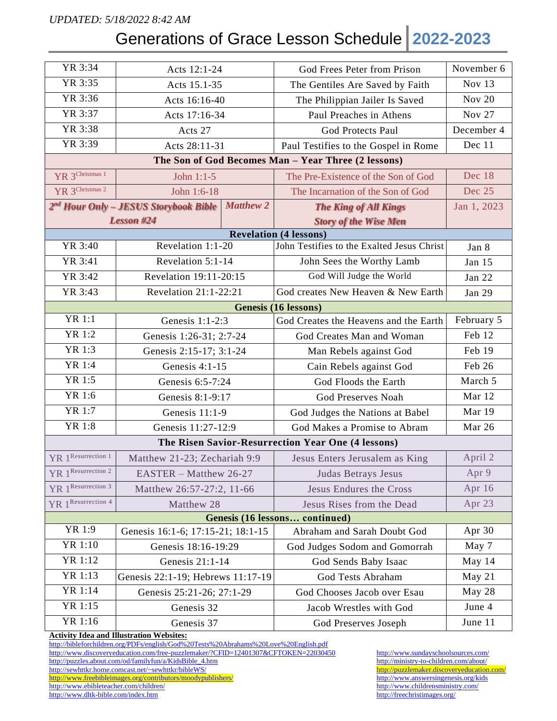### *UPDATED: 5/18/2022 8:42 AM*

## Generations of Grace Lesson Schedule **2022-2023**

| YR 3:34                                             | Acts 12:1-24                                      |                  | God Frees Peter from Prison                        | November 6    |  |  |  |  |
|-----------------------------------------------------|---------------------------------------------------|------------------|----------------------------------------------------|---------------|--|--|--|--|
| YR 3:35                                             | Acts 15.1-35                                      |                  | The Gentiles Are Saved by Faith                    | Nov 13        |  |  |  |  |
| YR 3:36                                             | Acts 16:16-40                                     |                  | The Philippian Jailer Is Saved                     | <b>Nov 20</b> |  |  |  |  |
| YR 3:37                                             | Acts 17:16-34                                     |                  | Paul Preaches in Athens                            | <b>Nov 27</b> |  |  |  |  |
| YR 3:38                                             | Acts 27                                           |                  | <b>God Protects Paul</b>                           | December 4    |  |  |  |  |
| YR 3:39                                             | Acts 28:11-31                                     |                  | Paul Testifies to the Gospel in Rome               | Dec 11        |  |  |  |  |
| The Son of God Becomes Man - Year Three (2 lessons) |                                                   |                  |                                                    |               |  |  |  |  |
| YR 3 <sup>Christmas 1</sup>                         | John 1:1-5                                        |                  | The Pre-Existence of the Son of God                | Dec 18        |  |  |  |  |
| YR 3 <sup>Christmas 2</sup>                         | John 1:6-18                                       |                  | The Incarnation of the Son of God                  | Dec 25        |  |  |  |  |
|                                                     | 2 <sup>nd</sup> Hour Only – JESUS Storybook Bible | <b>Matthew 2</b> | <b>The King of All Kings</b>                       | Jan 1, 2023   |  |  |  |  |
|                                                     | <b>Lesson #24</b>                                 |                  | <b>Story of the Wise Men</b>                       |               |  |  |  |  |
| <b>Revelation (4 lessons)</b>                       |                                                   |                  |                                                    |               |  |  |  |  |
| YR 3:40                                             | Revelation 1:1-20                                 |                  | John Testifies to the Exalted Jesus Christ         | Jan 8         |  |  |  |  |
| YR 3:41                                             | Revelation 5:1-14                                 |                  | John Sees the Worthy Lamb                          | Jan 15        |  |  |  |  |
| YR 3:42                                             | Revelation 19:11-20:15                            |                  | God Will Judge the World                           | Jan 22        |  |  |  |  |
| YR 3:43                                             | Revelation 21:1-22:21                             |                  | God creates New Heaven & New Earth                 | Jan 29        |  |  |  |  |
| <b>Genesis (16 lessons)</b>                         |                                                   |                  |                                                    |               |  |  |  |  |
| <b>YR 1:1</b>                                       | Genesis $1:1-2:3$                                 |                  | God Creates the Heavens and the Earth              | February 5    |  |  |  |  |
| YR 1:2                                              | Genesis 1:26-31; 2:7-24                           |                  | God Creates Man and Woman                          | Feb 12        |  |  |  |  |
| YR 1:3                                              | Genesis 2:15-17; 3:1-24                           |                  | Man Rebels against God                             | Feb 19        |  |  |  |  |
| YR 1:4                                              | Genesis 4:1-15                                    |                  | Cain Rebels against God                            | Feb 26        |  |  |  |  |
| YR 1:5                                              | Genesis 6:5-7:24                                  |                  | God Floods the Earth                               | March 5       |  |  |  |  |
| YR 1:6                                              | Genesis 8:1-9:17                                  |                  | God Preserves Noah                                 | Mar 12        |  |  |  |  |
| YR 1:7                                              | Genesis 11:1-9                                    |                  | God Judges the Nations at Babel                    | Mar 19        |  |  |  |  |
| <b>YR 1:8</b>                                       | Genesis 11:27-12:9                                |                  | God Makes a Promise to Abram                       | Mar 26        |  |  |  |  |
|                                                     |                                                   |                  | The Risen Savior-Resurrection Year One (4 lessons) |               |  |  |  |  |
| YR 1 <sup>Resurrection</sup> 1                      | Matthew 21-23; Zechariah 9:9                      |                  | Jesus Enters Jerusalem as King                     | April 2       |  |  |  |  |
| YR 1Resurrection 2                                  | EASTER - Matthew 26-27                            |                  | Judas Betrays Jesus                                | Apr 9         |  |  |  |  |
| YR 1 Resurrection 3                                 | Matthew 26:57-27:2, 11-66                         |                  | <b>Jesus Endures the Cross</b>                     | Apr 16        |  |  |  |  |
| YR 1Resurrection 4                                  | Matthew 28                                        |                  | Jesus Rises from the Dead                          | Apr 23        |  |  |  |  |
|                                                     |                                                   |                  | Genesis (16 lessons continued)                     |               |  |  |  |  |
| YR 1:9                                              | Genesis 16:1-6; 17:15-21; 18:1-15                 |                  | Abraham and Sarah Doubt God                        | Apr 30        |  |  |  |  |
| YR 1:10                                             | Genesis 18:16-19:29                               |                  | God Judges Sodom and Gomorrah                      | May 7         |  |  |  |  |
| YR 1:12                                             | Genesis 21:1-14                                   |                  | God Sends Baby Isaac                               | May 14        |  |  |  |  |
| YR 1:13                                             | Genesis 22:1-19; Hebrews 11:17-19                 |                  | God Tests Abraham                                  | May 21        |  |  |  |  |
| YR 1:14                                             | Genesis 25:21-26; 27:1-29                         |                  | God Chooses Jacob over Esau                        | May 28        |  |  |  |  |
| YR 1:15                                             | Genesis 32                                        |                  | Jacob Wrestles with God                            | June 4        |  |  |  |  |
| YR 1:16                                             | Genesis 37                                        |                  | God Preserves Joseph                               | June 11       |  |  |  |  |

#### **Activity Idea and Illustration Websites:**

<http://bibleforchildren.org/PDFs/english/God%20Tests%20Abrahams%20Love%20English.pdf> <http://www.discoveryeducation.com/free-puzzlemaker/?CFID=12401307&CFTOKEN=22030450> <http://www.sundayschoolsources.com/><br>http://puzzles.about.com/od/familyfun/a/KidsBible\_4.htm http://ministry-to-children.com/about/ [http://puzzles.about.com/od/familyfun/a/KidsBible\\_4.htm](http://puzzles.about.com/od/familyfun/a/KidsBible_4.htm) <http://ministry-to-children.com/about/> <http://sewhttkr.home.comcast.net/~sewhttkr/bibleWS/><br>http://www.freebibleimages.org/contributors/moodypublishers/ http://www.answersingenesis.org/kids <http://www.freebibleimages.org/contributors/moodypublishers/> <http://www.answersingenesis.org/kids>/<br>http://www.ebibleteacher.com/children/ http://www.childrensministry.com/ <http://www.ebibleteacher.com/children/> http://www.ebibleteacher.com/children/ http://www.childrensministry.//www.childrensministry.//www.childrensministry.//www.childrensministry.//www.childrensministry.//freechristimages.

<http://www.dltk-bible.com/index.htm>